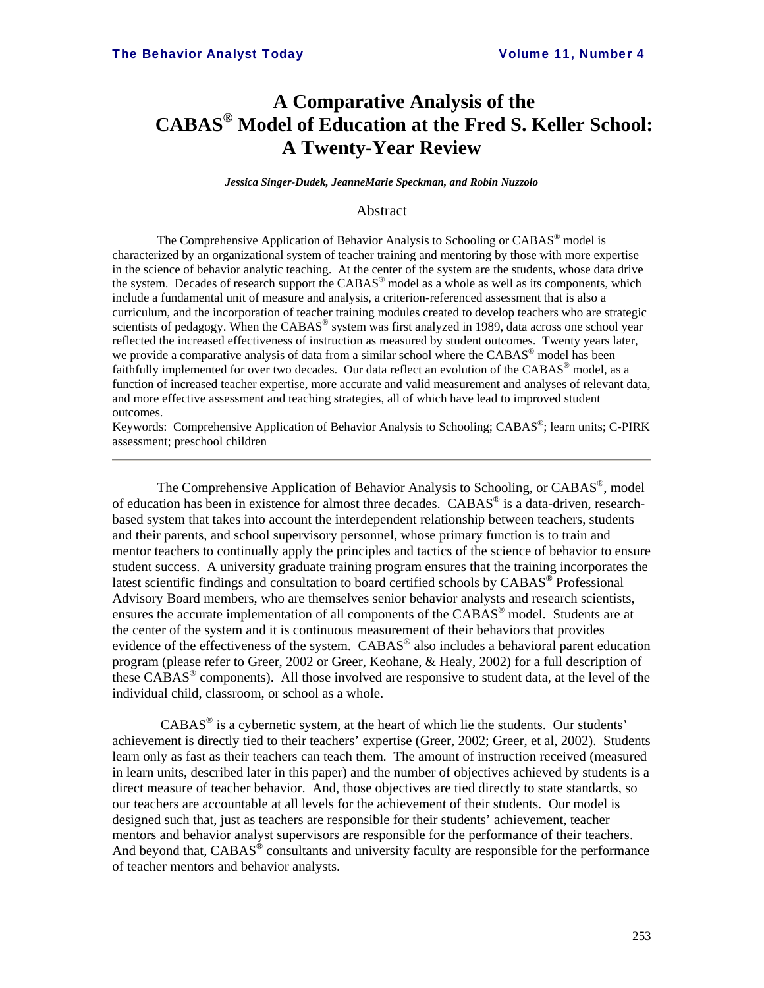# **A Comparative Analysis of the CABAS® Model of Education at the Fred S. Keller School: A Twenty-Year Review**

*Jessica Singer-Dudek, JeanneMarie Speckman, and Robin Nuzzolo* 

#### Abstract

The Comprehensive Application of Behavior Analysis to Schooling or CABAS® model is characterized by an organizational system of teacher training and mentoring by those with more expertise in the science of behavior analytic teaching. At the center of the system are the students, whose data drive the system. Decades of research support the CABAS<sup>®</sup> model as a whole as well as its components, which include a fundamental unit of measure and analysis, a criterion-referenced assessment that is also a curriculum, and the incorporation of teacher training modules created to develop teachers who are strategic scientists of pedagogy. When the CABAS<sup>®</sup> system was first analyzed in 1989, data across one school year reflected the increased effectiveness of instruction as measured by student outcomes. Twenty years later, we provide a comparative analysis of data from a similar school where the CABAS<sup>®</sup> model has been faithfully implemented for over two decades. Our data reflect an evolution of the CABAS<sup>®</sup> model, as a function of increased teacher expertise, more accurate and valid measurement and analyses of relevant data, and more effective assessment and teaching strategies, all of which have lead to improved student outcomes.

Keywords: Comprehensive Application of Behavior Analysis to Schooling; CABAS®; learn units; C-PIRK assessment; preschool children

The Comprehensive Application of Behavior Analysis to Schooling, or CABAS®, model of education has been in existence for almost three decades. CABAS® is a data-driven, researchbased system that takes into account the interdependent relationship between teachers, students and their parents, and school supervisory personnel, whose primary function is to train and mentor teachers to continually apply the principles and tactics of the science of behavior to ensure student success. A university graduate training program ensures that the training incorporates the latest scientific findings and consultation to board certified schools by CABAS<sup>®</sup> Professional Advisory Board members, who are themselves senior behavior analysts and research scientists, ensures the accurate implementation of all components of the CABAS<sup>®</sup> model. Students are at the center of the system and it is continuous measurement of their behaviors that provides evidence of the effectiveness of the system. CABAS<sup>®</sup> also includes a behavioral parent education program (please refer to Greer, 2002 or Greer, Keohane, & Healy, 2002) for a full description of these CABAS® components). All those involved are responsive to student data, at the level of the individual child, classroom, or school as a whole.

 $CABAS^{\circledast}$  is a cybernetic system, at the heart of which lie the students. Our students' achievement is directly tied to their teachers' expertise (Greer, 2002; Greer, et al, 2002). Students learn only as fast as their teachers can teach them. The amount of instruction received (measured in learn units, described later in this paper) and the number of objectives achieved by students is a direct measure of teacher behavior. And, those objectives are tied directly to state standards, so our teachers are accountable at all levels for the achievement of their students. Our model is designed such that, just as teachers are responsible for their students' achievement, teacher mentors and behavior analyst supervisors are responsible for the performance of their teachers. And beyond that, CABAS<sup>®</sup> consultants and university faculty are responsible for the performance of teacher mentors and behavior analysts.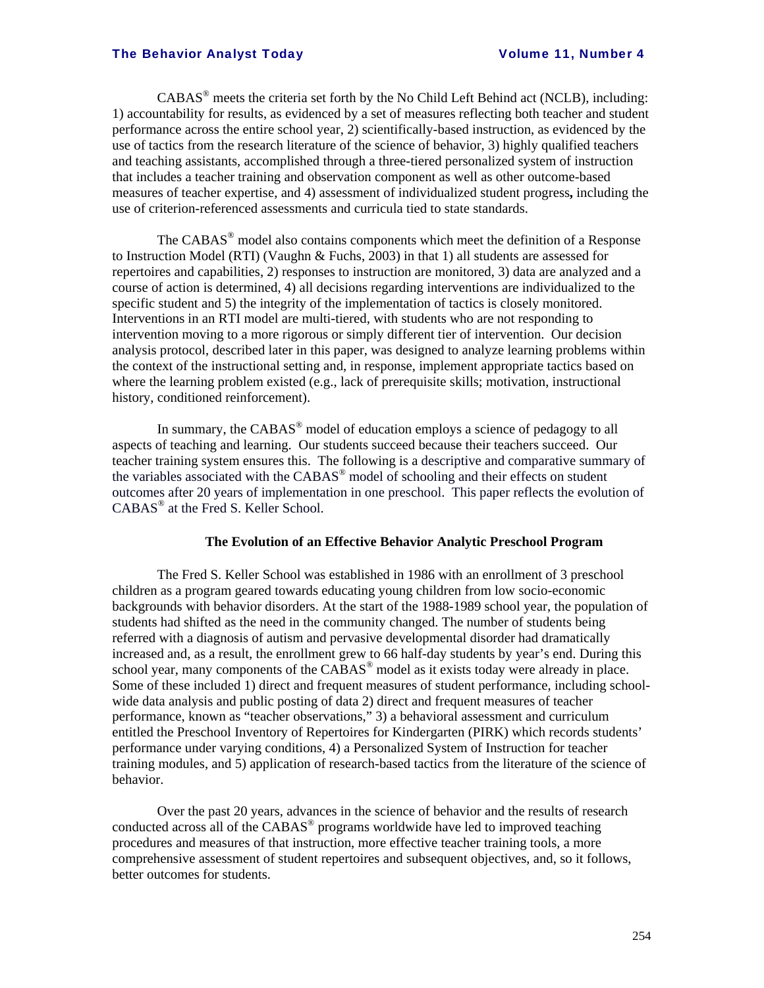CABAS® meets the criteria set forth by the No Child Left Behind act (NCLB), including: 1) accountability for results, as evidenced by a set of measures reflecting both teacher and student performance across the entire school year, 2) scientifically-based instruction, as evidenced by the use of tactics from the research literature of the science of behavior, 3) highly qualified teachers and teaching assistants, accomplished through a three-tiered personalized system of instruction that includes a teacher training and observation component as well as other outcome-based measures of teacher expertise, and 4) assessment of individualized student progress**,** including the use of criterion-referenced assessments and curricula tied to state standards.

The  $CABAS^{\circ}$  model also contains components which meet the definition of a Response to Instruction Model (RTI) (Vaughn & Fuchs, 2003) in that 1) all students are assessed for repertoires and capabilities, 2) responses to instruction are monitored, 3) data are analyzed and a course of action is determined, 4) all decisions regarding interventions are individualized to the specific student and 5) the integrity of the implementation of tactics is closely monitored. Interventions in an RTI model are multi-tiered, with students who are not responding to intervention moving to a more rigorous or simply different tier of intervention. Our decision analysis protocol, described later in this paper, was designed to analyze learning problems within the context of the instructional setting and, in response, implement appropriate tactics based on where the learning problem existed (e.g., lack of prerequisite skills; motivation, instructional history, conditioned reinforcement).

In summary, the CABAS<sup>®</sup> model of education employs a science of pedagogy to all aspects of teaching and learning. Our students succeed because their teachers succeed. Our teacher training system ensures this. The following is a descriptive and comparative summary of the variables associated with the CABAS® model of schooling and their effects on student outcomes after 20 years of implementation in one preschool. This paper reflects the evolution of CABAS® at the Fred S. Keller School.

# **The Evolution of an Effective Behavior Analytic Preschool Program**

The Fred S. Keller School was established in 1986 with an enrollment of 3 preschool children as a program geared towards educating young children from low socio-economic backgrounds with behavior disorders. At the start of the 1988-1989 school year, the population of students had shifted as the need in the community changed. The number of students being referred with a diagnosis of autism and pervasive developmental disorder had dramatically increased and, as a result, the enrollment grew to 66 half-day students by year's end. During this school year, many components of the  $CABAS^{\circledcirc}$  model as it exists today were already in place. Some of these included 1) direct and frequent measures of student performance, including schoolwide data analysis and public posting of data 2) direct and frequent measures of teacher performance, known as "teacher observations," 3) a behavioral assessment and curriculum entitled the Preschool Inventory of Repertoires for Kindergarten (PIRK) which records students' performance under varying conditions, 4) a Personalized System of Instruction for teacher training modules, and 5) application of research-based tactics from the literature of the science of behavior.

Over the past 20 years, advances in the science of behavior and the results of research conducted across all of the CABAS® programs worldwide have led to improved teaching procedures and measures of that instruction, more effective teacher training tools, a more comprehensive assessment of student repertoires and subsequent objectives, and, so it follows, better outcomes for students.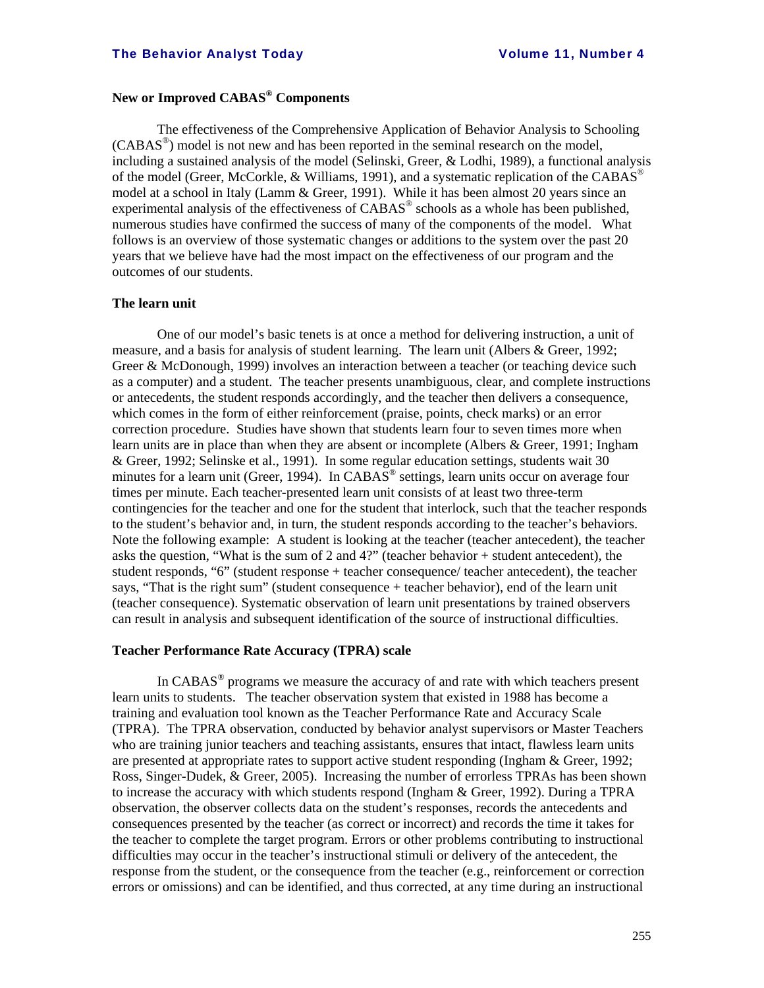# **New or Improved CABAS® Components**

The effectiveness of the Comprehensive Application of Behavior Analysis to Schooling (CABAS®) model is not new and has been reported in the seminal research on the model, including a sustained analysis of the model (Selinski, Greer, & Lodhi, 1989), a functional analysis of the model (Greer, McCorkle, & Williams, 1991), and a systematic replication of the CABAS<sup>®</sup> model at a school in Italy (Lamm & Greer, 1991). While it has been almost 20 years since an experimental analysis of the effectiveness of  $CABAS^{\circ}$  schools as a whole has been published, numerous studies have confirmed the success of many of the components of the model. What follows is an overview of those systematic changes or additions to the system over the past 20 years that we believe have had the most impact on the effectiveness of our program and the outcomes of our students.

#### **The learn unit**

One of our model's basic tenets is at once a method for delivering instruction, a unit of measure, and a basis for analysis of student learning. The learn unit (Albers & Greer, 1992; Greer & McDonough, 1999) involves an interaction between a teacher (or teaching device such as a computer) and a student. The teacher presents unambiguous, clear, and complete instructions or antecedents, the student responds accordingly, and the teacher then delivers a consequence, which comes in the form of either reinforcement (praise, points, check marks) or an error correction procedure. Studies have shown that students learn four to seven times more when learn units are in place than when they are absent or incomplete (Albers  $\&$  Greer, 1991; Ingham & Greer, 1992; Selinske et al., 1991). In some regular education settings, students wait 30 minutes for a learn unit (Greer, 1994). In  $CABA\overline{S}^{\otimes}$  settings, learn units occur on average four times per minute. Each teacher-presented learn unit consists of at least two three-term contingencies for the teacher and one for the student that interlock, such that the teacher responds to the student's behavior and, in turn, the student responds according to the teacher's behaviors. Note the following example: A student is looking at the teacher (teacher antecedent), the teacher asks the question, "What is the sum of 2 and 4?" (teacher behavior + student antecedent), the student responds, "6" (student response + teacher consequence/ teacher antecedent), the teacher says, "That is the right sum" (student consequence + teacher behavior), end of the learn unit (teacher consequence). Systematic observation of learn unit presentations by trained observers can result in analysis and subsequent identification of the source of instructional difficulties.

## **Teacher Performance Rate Accuracy (TPRA) scale**

In CABAS® programs we measure the accuracy of and rate with which teachers present learn units to students. The teacher observation system that existed in 1988 has become a training and evaluation tool known as the Teacher Performance Rate and Accuracy Scale (TPRA). The TPRA observation, conducted by behavior analyst supervisors or Master Teachers who are training junior teachers and teaching assistants, ensures that intact, flawless learn units are presented at appropriate rates to support active student responding (Ingham & Greer, 1992; Ross, Singer-Dudek, & Greer, 2005). Increasing the number of errorless TPRAs has been shown to increase the accuracy with which students respond (Ingham & Greer, 1992). During a TPRA observation, the observer collects data on the student's responses, records the antecedents and consequences presented by the teacher (as correct or incorrect) and records the time it takes for the teacher to complete the target program. Errors or other problems contributing to instructional difficulties may occur in the teacher's instructional stimuli or delivery of the antecedent, the response from the student, or the consequence from the teacher (e.g., reinforcement or correction errors or omissions) and can be identified, and thus corrected, at any time during an instructional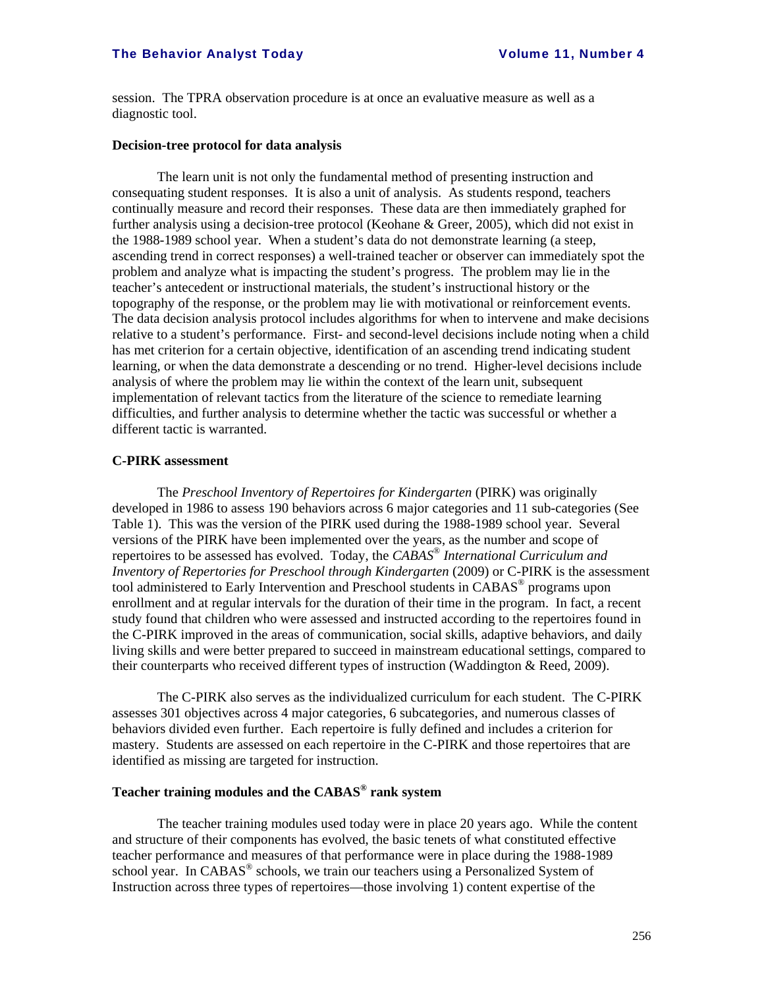session. The TPRA observation procedure is at once an evaluative measure as well as a diagnostic tool.

#### **Decision-tree protocol for data analysis**

The learn unit is not only the fundamental method of presenting instruction and consequating student responses. It is also a unit of analysis. As students respond, teachers continually measure and record their responses. These data are then immediately graphed for further analysis using a decision-tree protocol (Keohane & Greer, 2005), which did not exist in the 1988-1989 school year. When a student's data do not demonstrate learning (a steep, ascending trend in correct responses) a well-trained teacher or observer can immediately spot the problem and analyze what is impacting the student's progress. The problem may lie in the teacher's antecedent or instructional materials, the student's instructional history or the topography of the response, or the problem may lie with motivational or reinforcement events. The data decision analysis protocol includes algorithms for when to intervene and make decisions relative to a student's performance. First- and second-level decisions include noting when a child has met criterion for a certain objective, identification of an ascending trend indicating student learning, or when the data demonstrate a descending or no trend. Higher-level decisions include analysis of where the problem may lie within the context of the learn unit, subsequent implementation of relevant tactics from the literature of the science to remediate learning difficulties, and further analysis to determine whether the tactic was successful or whether a different tactic is warranted.

## **C-PIRK assessment**

The *Preschool Inventory of Repertoires for Kindergarten* (PIRK) was originally developed in 1986 to assess 190 behaviors across 6 major categories and 11 sub-categories (See Table 1). This was the version of the PIRK used during the 1988-1989 school year. Several versions of the PIRK have been implemented over the years, as the number and scope of repertoires to be assessed has evolved. Today, the *CABAS*® *International Curriculum and Inventory of Repertories for Preschool through Kindergarten* (2009) or C-PIRK is the assessment tool administered to Early Intervention and Preschool students in CABAS<sup>®</sup> programs upon enrollment and at regular intervals for the duration of their time in the program. In fact, a recent study found that children who were assessed and instructed according to the repertoires found in the C-PIRK improved in the areas of communication, social skills, adaptive behaviors, and daily living skills and were better prepared to succeed in mainstream educational settings, compared to their counterparts who received different types of instruction (Waddington & Reed, 2009).

The C-PIRK also serves as the individualized curriculum for each student. The C-PIRK assesses 301 objectives across 4 major categories, 6 subcategories, and numerous classes of behaviors divided even further. Each repertoire is fully defined and includes a criterion for mastery. Students are assessed on each repertoire in the C-PIRK and those repertoires that are identified as missing are targeted for instruction.

# **Teacher training modules and the CABAS® rank system**

The teacher training modules used today were in place 20 years ago. While the content and structure of their components has evolved, the basic tenets of what constituted effective teacher performance and measures of that performance were in place during the 1988-1989 school year. In CABAS<sup>®</sup> schools, we train our teachers using a Personalized System of Instruction across three types of repertoires—those involving 1) content expertise of the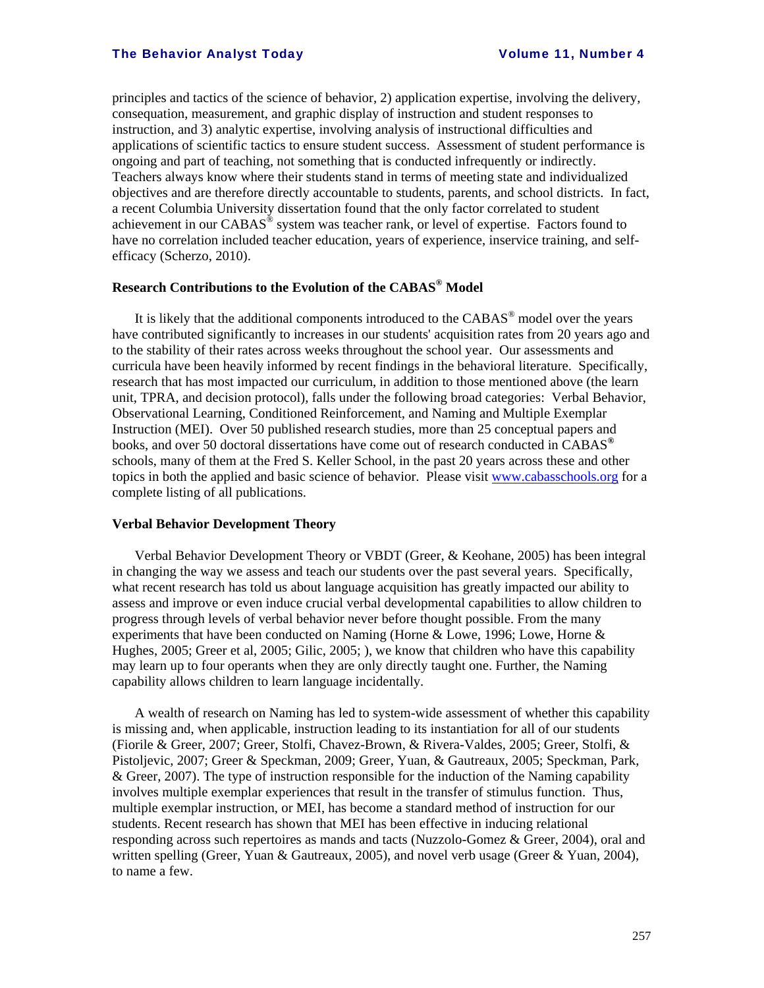principles and tactics of the science of behavior, 2) application expertise, involving the delivery, consequation, measurement, and graphic display of instruction and student responses to instruction, and 3) analytic expertise, involving analysis of instructional difficulties and applications of scientific tactics to ensure student success. Assessment of student performance is ongoing and part of teaching, not something that is conducted infrequently or indirectly. Teachers always know where their students stand in terms of meeting state and individualized objectives and are therefore directly accountable to students, parents, and school districts. In fact, a recent Columbia University dissertation found that the only factor correlated to student achievement in our CABAS<sup>®</sup> system was teacher rank, or level of expertise. Factors found to have no correlation included teacher education, years of experience, inservice training, and selfefficacy (Scherzo, 2010).

# **Research Contributions to the Evolution of the CABAS® Model**

It is likely that the additional components introduced to the CABAS® model over the years have contributed significantly to increases in our students' acquisition rates from 20 years ago and to the stability of their rates across weeks throughout the school year. Our assessments and curricula have been heavily informed by recent findings in the behavioral literature. Specifically, research that has most impacted our curriculum, in addition to those mentioned above (the learn unit, TPRA, and decision protocol), falls under the following broad categories: Verbal Behavior, Observational Learning, Conditioned Reinforcement, and Naming and Multiple Exemplar Instruction (MEI). Over 50 published research studies, more than 25 conceptual papers and books, and over 50 doctoral dissertations have come out of research conducted in CABAS**®** schools, many of them at the Fred S. Keller School, in the past 20 years across these and other topics in both the applied and basic science of behavior. Please visit www.cabasschools.org for a complete listing of all publications.

#### **Verbal Behavior Development Theory**

Verbal Behavior Development Theory or VBDT (Greer, & Keohane, 2005) has been integral in changing the way we assess and teach our students over the past several years. Specifically, what recent research has told us about language acquisition has greatly impacted our ability to assess and improve or even induce crucial verbal developmental capabilities to allow children to progress through levels of verbal behavior never before thought possible. From the many experiments that have been conducted on Naming (Horne  $&$  Lowe, 1996; Lowe, Horne  $&$ Hughes, 2005; Greer et al, 2005; Gilic, 2005; ), we know that children who have this capability may learn up to four operants when they are only directly taught one. Further, the Naming capability allows children to learn language incidentally.

A wealth of research on Naming has led to system-wide assessment of whether this capability is missing and, when applicable, instruction leading to its instantiation for all of our students (Fiorile & Greer, 2007; Greer, Stolfi, Chavez-Brown, & Rivera-Valdes, 2005; Greer, Stolfi, & Pistoljevic, 2007; Greer & Speckman, 2009; Greer, Yuan, & Gautreaux, 2005; Speckman, Park, & Greer, 2007). The type of instruction responsible for the induction of the Naming capability involves multiple exemplar experiences that result in the transfer of stimulus function. Thus, multiple exemplar instruction, or MEI, has become a standard method of instruction for our students. Recent research has shown that MEI has been effective in inducing relational responding across such repertoires as mands and tacts (Nuzzolo-Gomez & Greer, 2004), oral and written spelling (Greer, Yuan & Gautreaux, 2005), and novel verb usage (Greer & Yuan, 2004), to name a few.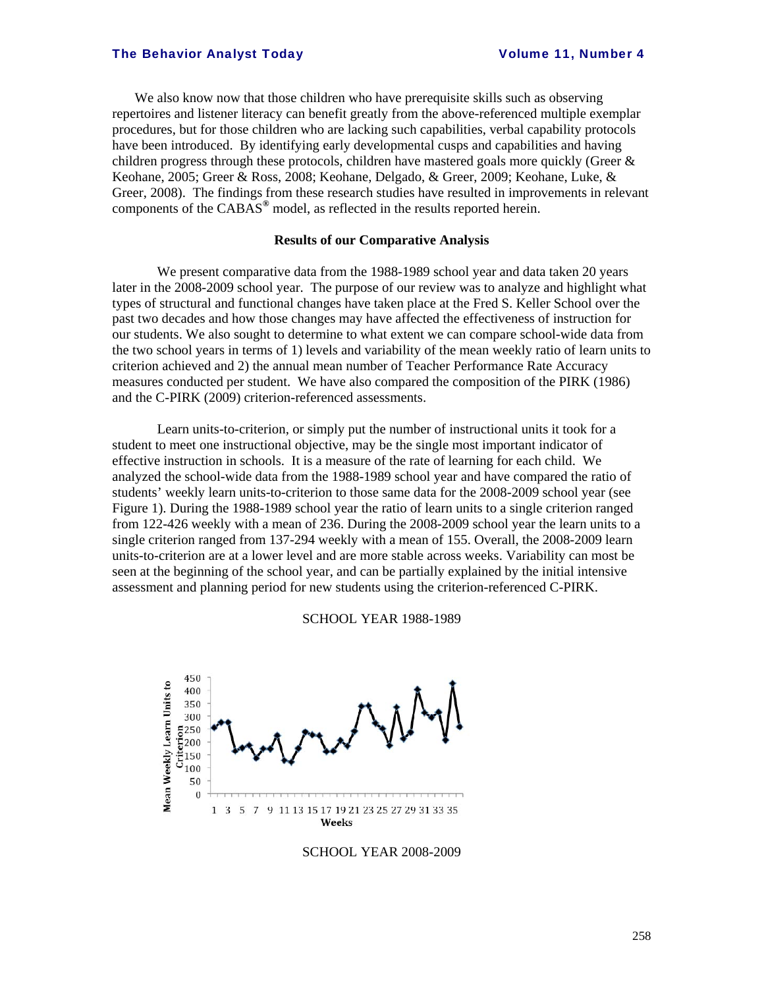We also know now that those children who have prerequisite skills such as observing repertoires and listener literacy can benefit greatly from the above-referenced multiple exemplar procedures, but for those children who are lacking such capabilities, verbal capability protocols have been introduced. By identifying early developmental cusps and capabilities and having children progress through these protocols, children have mastered goals more quickly (Greer  $\&$ Keohane, 2005; Greer & Ross, 2008; Keohane, Delgado, & Greer, 2009; Keohane, Luke, & Greer, 2008). The findings from these research studies have resulted in improvements in relevant components of the CABAS**®** model, as reflected in the results reported herein.

#### **Results of our Comparative Analysis**

We present comparative data from the 1988-1989 school year and data taken 20 years later in the 2008-2009 school year. The purpose of our review was to analyze and highlight what types of structural and functional changes have taken place at the Fred S. Keller School over the past two decades and how those changes may have affected the effectiveness of instruction for our students. We also sought to determine to what extent we can compare school-wide data from the two school years in terms of 1) levels and variability of the mean weekly ratio of learn units to criterion achieved and 2) the annual mean number of Teacher Performance Rate Accuracy measures conducted per student. We have also compared the composition of the PIRK (1986) and the C-PIRK (2009) criterion-referenced assessments.

Learn units-to-criterion, or simply put the number of instructional units it took for a student to meet one instructional objective, may be the single most important indicator of effective instruction in schools. It is a measure of the rate of learning for each child. We analyzed the school-wide data from the 1988-1989 school year and have compared the ratio of students' weekly learn units-to-criterion to those same data for the 2008-2009 school year (see Figure 1). During the 1988-1989 school year the ratio of learn units to a single criterion ranged from 122-426 weekly with a mean of 236. During the 2008-2009 school year the learn units to a single criterion ranged from 137-294 weekly with a mean of 155. Overall, the 2008-2009 learn units-to-criterion are at a lower level and are more stable across weeks. Variability can most be seen at the beginning of the school year, and can be partially explained by the initial intensive assessment and planning period for new students using the criterion-referenced C-PIRK.

#### SCHOOL YEAR 1988-1989



SCHOOL YEAR 2008-2009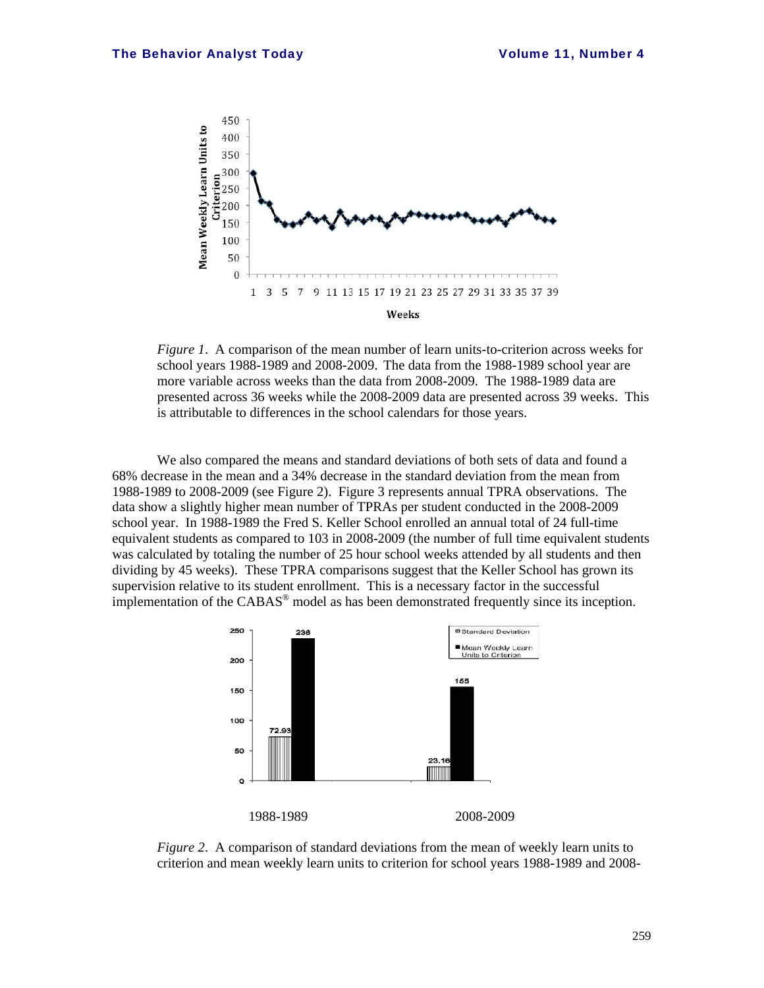

 *Figure 1*. A comparison of the mean number of learn units-to-criterion across weeks for school years 1988-1989 and 2008-2009. The data from the 1988-1989 school year are more variable across weeks than the data from 2008-2009. The 1988-1989 data are presented across 36 weeks while the 2008-2009 data are presented across 39 weeks. This is attributable to differences in the school calendars for those years.

We also compared the means and standard deviations of both sets of data and found a 68% decrease in the mean and a 34% decrease in the standard deviation from the mean from 1988-1989 to 2008-2009 (see Figure 2). Figure 3 represents annual TPRA observations. The data show a slightly higher mean number of TPRAs per student conducted in the 2008-2009 school year. In 1988-1989 the Fred S. Keller School enrolled an annual total of 24 full-time equivalent students as compared to 103 in 2008-2009 (the number of full time equivalent students was calculated by totaling the number of 25 hour school weeks attended by all students and then dividing by 45 weeks). These TPRA comparisons suggest that the Keller School has grown its supervision relative to its student enrollment. This is a necessary factor in the successful implementation of the CABAS® model as has been demonstrated frequently since its inception.



 *Figure 2*. A comparison of standard deviations from the mean of weekly learn units to criterion and mean weekly learn units to criterion for school years 1988-1989 and 2008-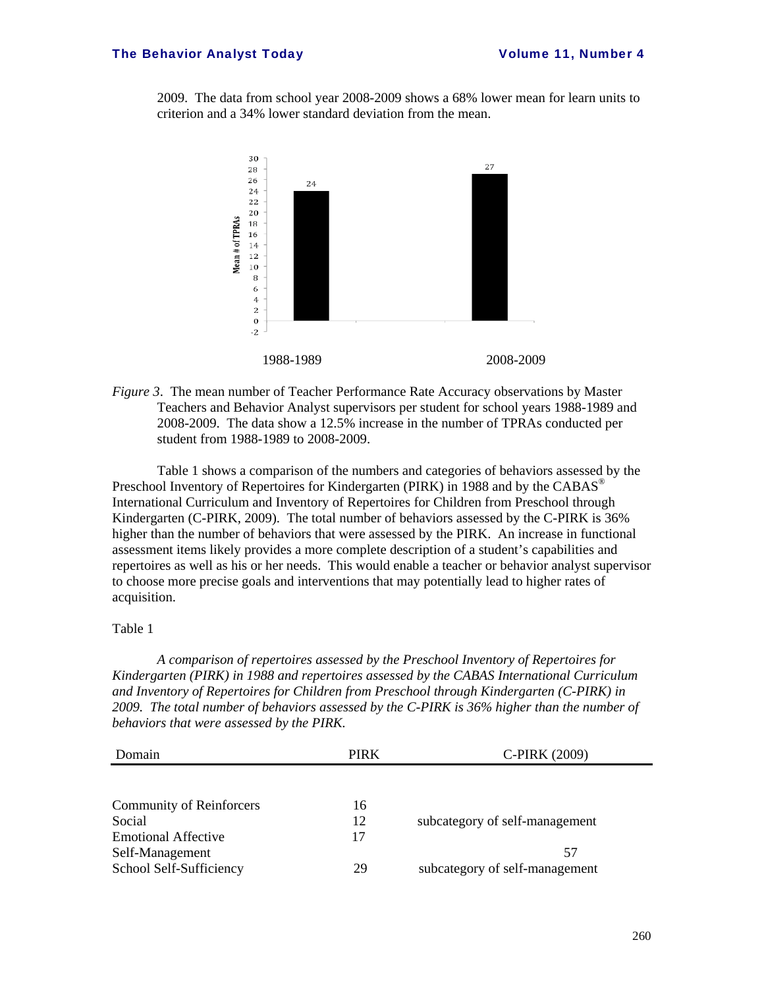2009. The data from school year 2008-2009 shows a 68% lower mean for learn units to criterion and a 34% lower standard deviation from the mean.



*Figure 3*. The mean number of Teacher Performance Rate Accuracy observations by Master Teachers and Behavior Analyst supervisors per student for school years 1988-1989 and 2008-2009. The data show a 12.5% increase in the number of TPRAs conducted per student from 1988-1989 to 2008-2009.

Table 1 shows a comparison of the numbers and categories of behaviors assessed by the Preschool Inventory of Repertoires for Kindergarten (PIRK) in 1988 and by the  $CABAS^{\circledcirc}$ International Curriculum and Inventory of Repertoires for Children from Preschool through Kindergarten (C-PIRK, 2009). The total number of behaviors assessed by the C-PIRK is 36% higher than the number of behaviors that were assessed by the PIRK. An increase in functional assessment items likely provides a more complete description of a student's capabilities and repertoires as well as his or her needs. This would enable a teacher or behavior analyst supervisor to choose more precise goals and interventions that may potentially lead to higher rates of acquisition.

#### Table 1

 *A comparison of repertoires assessed by the Preschool Inventory of Repertoires for Kindergarten (PIRK) in 1988 and repertoires assessed by the CABAS International Curriculum and Inventory of Repertoires for Children from Preschool through Kindergarten (C-PIRK) in 2009. The total number of behaviors assessed by the C-PIRK is 36% higher than the number of behaviors that were assessed by the PIRK.* 

| Domain                          | <b>PIRK</b> | C-PIRK (2009)                  |
|---------------------------------|-------------|--------------------------------|
|                                 |             |                                |
| <b>Community of Reinforcers</b> | 16          |                                |
| Social                          | 12          | subcategory of self-management |
| <b>Emotional Affective</b>      | 17          |                                |
| Self-Management                 |             | 57                             |
| School Self-Sufficiency         | 29          | subcategory of self-management |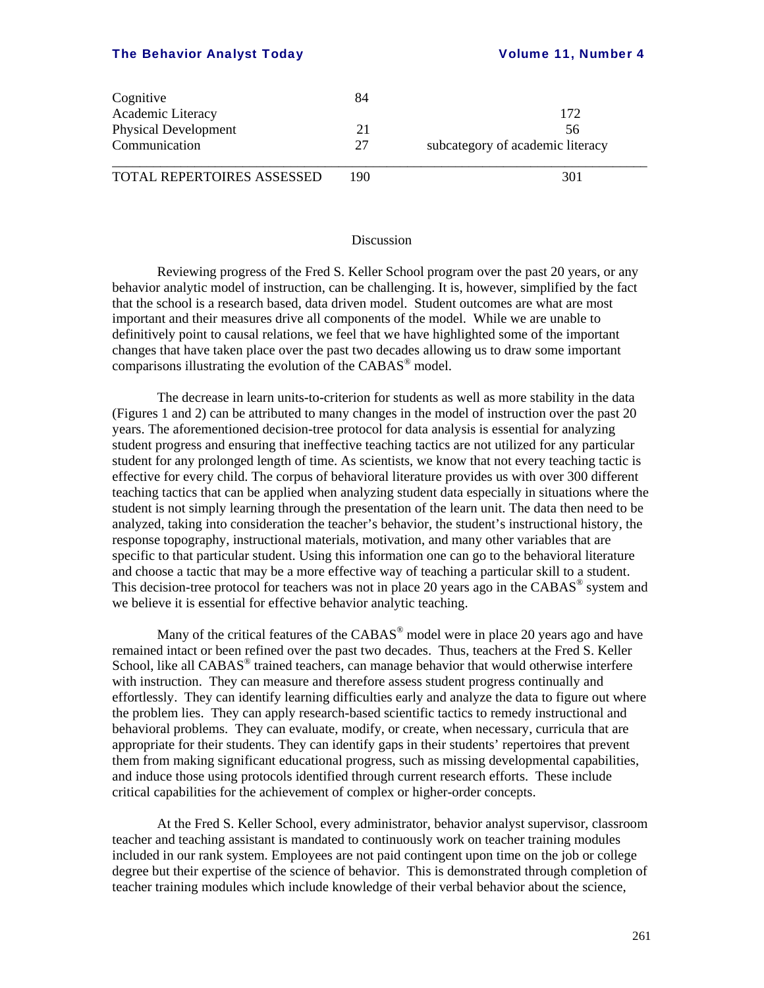| Cognitive                   | 84  |                                  |
|-----------------------------|-----|----------------------------------|
| Academic Literacy           |     | 172                              |
| <b>Physical Development</b> | 21  | 56                               |
| Communication               | 27  | subcategory of academic literacy |
| TOTAL REPERTOIRES ASSESSED  | 190 | 301                              |

#### Discussion

Reviewing progress of the Fred S. Keller School program over the past 20 years, or any behavior analytic model of instruction, can be challenging. It is, however, simplified by the fact that the school is a research based, data driven model. Student outcomes are what are most important and their measures drive all components of the model. While we are unable to definitively point to causal relations, we feel that we have highlighted some of the important changes that have taken place over the past two decades allowing us to draw some important comparisons illustrating the evolution of the CABAS® model.

The decrease in learn units-to-criterion for students as well as more stability in the data (Figures 1 and 2) can be attributed to many changes in the model of instruction over the past 20 years. The aforementioned decision-tree protocol for data analysis is essential for analyzing student progress and ensuring that ineffective teaching tactics are not utilized for any particular student for any prolonged length of time. As scientists, we know that not every teaching tactic is effective for every child. The corpus of behavioral literature provides us with over 300 different teaching tactics that can be applied when analyzing student data especially in situations where the student is not simply learning through the presentation of the learn unit. The data then need to be analyzed, taking into consideration the teacher's behavior, the student's instructional history, the response topography, instructional materials, motivation, and many other variables that are specific to that particular student. Using this information one can go to the behavioral literature and choose a tactic that may be a more effective way of teaching a particular skill to a student. This decision-tree protocol for teachers was not in place 20 years ago in the CABAS<sup>®</sup> system and we believe it is essential for effective behavior analytic teaching.

Many of the critical features of the CABAS<sup>®</sup> model were in place 20 years ago and have remained intact or been refined over the past two decades. Thus, teachers at the Fred S. Keller School, like all CABAS<sup>®</sup> trained teachers, can manage behavior that would otherwise interfere with instruction. They can measure and therefore assess student progress continually and effortlessly. They can identify learning difficulties early and analyze the data to figure out where the problem lies. They can apply research-based scientific tactics to remedy instructional and behavioral problems. They can evaluate, modify, or create, when necessary, curricula that are appropriate for their students. They can identify gaps in their students' repertoires that prevent them from making significant educational progress, such as missing developmental capabilities, and induce those using protocols identified through current research efforts. These include critical capabilities for the achievement of complex or higher-order concepts.

At the Fred S. Keller School, every administrator, behavior analyst supervisor, classroom teacher and teaching assistant is mandated to continuously work on teacher training modules included in our rank system. Employees are not paid contingent upon time on the job or college degree but their expertise of the science of behavior. This is demonstrated through completion of teacher training modules which include knowledge of their verbal behavior about the science,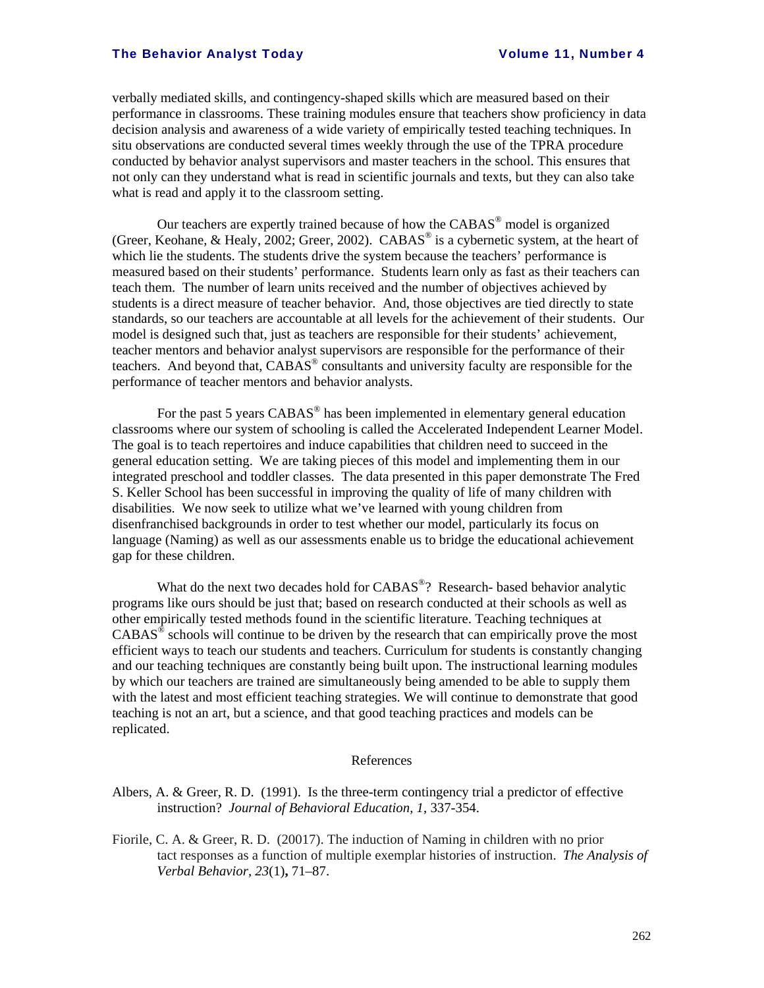verbally mediated skills, and contingency-shaped skills which are measured based on their performance in classrooms. These training modules ensure that teachers show proficiency in data decision analysis and awareness of a wide variety of empirically tested teaching techniques. In situ observations are conducted several times weekly through the use of the TPRA procedure conducted by behavior analyst supervisors and master teachers in the school. This ensures that not only can they understand what is read in scientific journals and texts, but they can also take what is read and apply it to the classroom setting.

Our teachers are expertly trained because of how the CABAS® model is organized (Greer, Keohane, & Healy, 2002; Greer, 2002). CABAS<sup>®</sup> is a cybernetic system, at the heart of which lie the students. The students drive the system because the teachers' performance is measured based on their students' performance. Students learn only as fast as their teachers can teach them. The number of learn units received and the number of objectives achieved by students is a direct measure of teacher behavior. And, those objectives are tied directly to state standards, so our teachers are accountable at all levels for the achievement of their students. Our model is designed such that, just as teachers are responsible for their students' achievement, teacher mentors and behavior analyst supervisors are responsible for the performance of their teachers. And beyond that, CABAS® consultants and university faculty are responsible for the performance of teacher mentors and behavior analysts.

For the past 5 years CABAS<sup>®</sup> has been implemented in elementary general education classrooms where our system of schooling is called the Accelerated Independent Learner Model. The goal is to teach repertoires and induce capabilities that children need to succeed in the general education setting. We are taking pieces of this model and implementing them in our integrated preschool and toddler classes. The data presented in this paper demonstrate The Fred S. Keller School has been successful in improving the quality of life of many children with disabilities. We now seek to utilize what we've learned with young children from disenfranchised backgrounds in order to test whether our model, particularly its focus on language (Naming) as well as our assessments enable us to bridge the educational achievement gap for these children.

What do the next two decades hold for CABAS<sup>®</sup>? Research- based behavior analytic programs like ours should be just that; based on research conducted at their schools as well as other empirically tested methods found in the scientific literature. Teaching techniques at  $CABAS^{\hat{\otimes}}$  schools will continue to be driven by the research that can empirically prove the most efficient ways to teach our students and teachers. Curriculum for students is constantly changing and our teaching techniques are constantly being built upon. The instructional learning modules by which our teachers are trained are simultaneously being amended to be able to supply them with the latest and most efficient teaching strategies. We will continue to demonstrate that good teaching is not an art, but a science, and that good teaching practices and models can be replicated.

#### References

- Albers, A. & Greer, R. D. (1991). Is the three-term contingency trial a predictor of effective instruction? *Journal of Behavioral Education*, *1*, 337-354.
- Fiorile, C. A. & Greer, R. D. (20017). The induction of Naming in children with no prior tact responses as a function of multiple exemplar histories of instruction. *The Analysis of Verbal Behavior, 23*(1)**,** 71–87.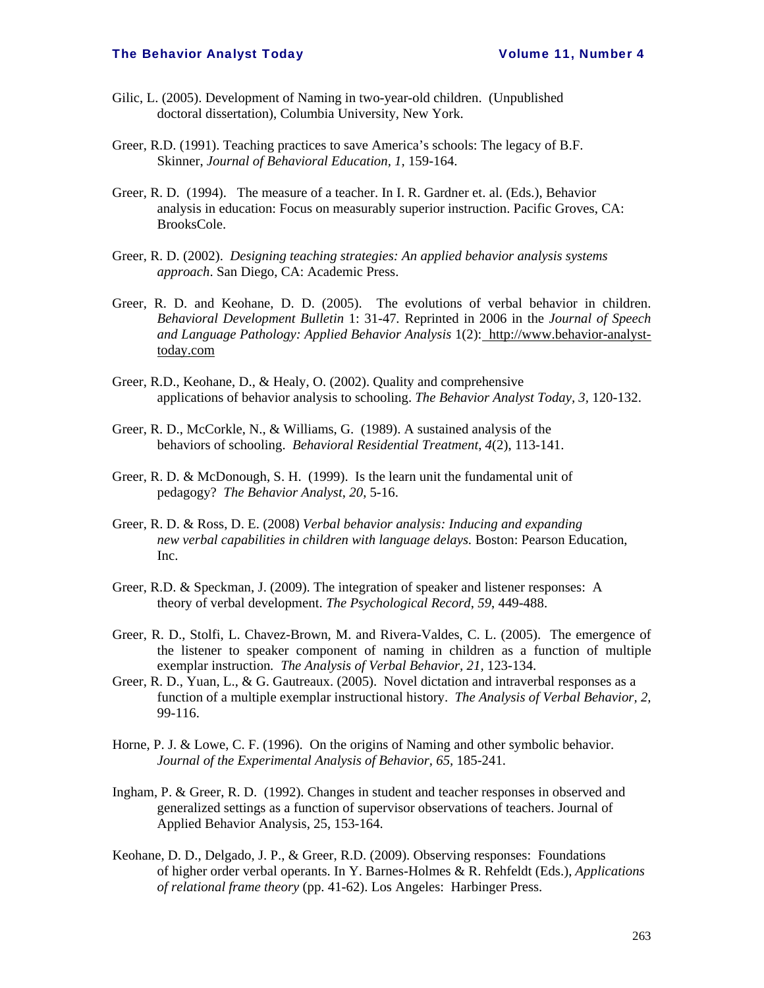- Gilic, L. (2005). Development of Naming in two-year-old children. (Unpublished doctoral dissertation), Columbia University, New York.
- Greer, R.D. (1991). Teaching practices to save America's schools: The legacy of B.F. Skinner, *Journal of Behavioral Education, 1,* 159-164.
- Greer, R. D. (1994). The measure of a teacher. In I. R. Gardner et. al. (Eds.), Behavior analysis in education: Focus on measurably superior instruction. Pacific Groves, CA: BrooksCole.
- Greer, R. D. (2002). *Designing teaching strategies: An applied behavior analysis systems approach*. San Diego, CA: Academic Press.
- Greer, R. D. and Keohane, D. D. (2005). The evolutions of verbal behavior in children. *Behavioral Development Bulletin* 1: 31-47*.* Reprinted in 2006 in the *Journal of Speech and Language Pathology: Applied Behavior Analysis* 1(2): http://www.behavior-analysttoday.com
- Greer, R.D., Keohane, D., & Healy, O. (2002). Quality and comprehensive applications of behavior analysis to schooling. *The Behavior Analyst Today, 3,* 120-132.
- Greer, R. D., McCorkle, N., & Williams, G. (1989). A sustained analysis of the behaviors of schooling. *Behavioral Residential Treatment*, *4*(2), 113-141.
- Greer, R. D. & McDonough, S. H. (1999). Is the learn unit the fundamental unit of pedagogy? *The Behavior Analyst*, *20*, 5-16.
- Greer, R. D. & Ross, D. E. (2008) *Verbal behavior analysis: Inducing and expanding new verbal capabilities in children with language delays.* Boston: Pearson Education, Inc.
- Greer, R.D. & Speckman, J. (2009). The integration of speaker and listener responses: A theory of verbal development. *The Psychological Record*, *59*, 449-488.
- Greer, R. D., Stolfi, L. Chavez-Brown, M. and Rivera-Valdes, C. L. (2005). The emergence of the listener to speaker component of naming in children as a function of multiple exemplar instruction*. The Analysis of Verbal Behavior, 21,* 123-134.
- Greer, R. D., Yuan, L., & G. Gautreaux. (2005). Novel dictation and intraverbal responses as a function of a multiple exemplar instructional history. *The Analysis of Verbal Behavior, 2,* 99-116.
- Horne, P. J. & Lowe, C. F. (1996). On the origins of Naming and other symbolic behavior. *Journal of the Experimental Analysis of Behavior, 65,* 185-241.
- Ingham, P. & Greer, R. D. (1992). Changes in student and teacher responses in observed and generalized settings as a function of supervisor observations of teachers. Journal of Applied Behavior Analysis, 25, 153-164.
- Keohane, D. D., Delgado, J. P., & Greer, R.D. (2009). Observing responses: Foundations of higher order verbal operants. In Y. Barnes-Holmes & R. Rehfeldt (Eds.), *Applications of relational frame theory* (pp. 41-62). Los Angeles: Harbinger Press.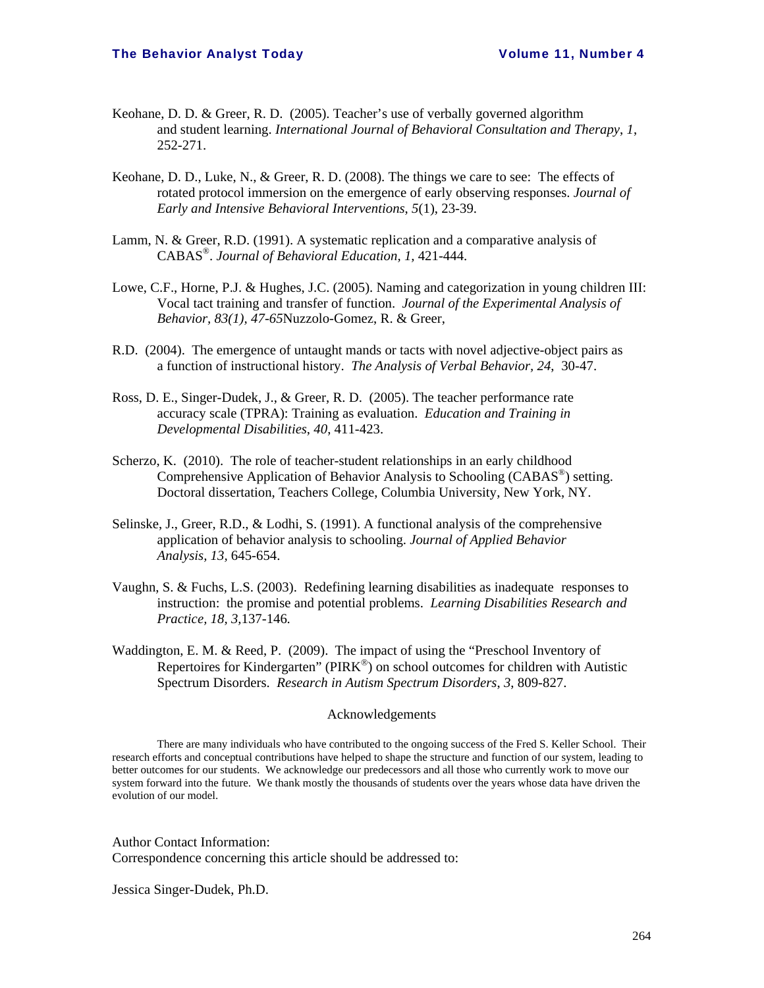- Keohane, D. D. & Greer, R. D. (2005). Teacher's use of verbally governed algorithm and student learning. *International Journal of Behavioral Consultation and Therapy*, *1*, 252-271.
- Keohane, D. D., Luke, N., & Greer, R. D. (2008). The things we care to see: The effects of rotated protocol immersion on the emergence of early observing responses. *Journal of Early and Intensive Behavioral Interventions*, *5*(1), 23-39.
- Lamm, N. & Greer, R.D. (1991). A systematic replication and a comparative analysis of CABAS®. *Journal of Behavioral Education, 1,* 421-444.
- Lowe, C.F., Horne, P.J. & Hughes, J.C. (2005). Naming and categorization in young children III: Vocal tact training and transfer of function. *Journal of the Experimental Analysis of Behavior, 83(1), 47-65*Nuzzolo-Gomez, R. & Greer,
- R.D. (2004). The emergence of untaught mands or tacts with novel adjective-object pairs as a function of instructional history. *The Analysis of Verbal Behavior, 24*, 30-47.
- Ross, D. E., Singer-Dudek, J., & Greer, R. D. (2005). The teacher performance rate accuracy scale (TPRA): Training as evaluation. *Education and Training in Developmental Disabilities*, *40*, 411-423.
- Scherzo, K. (2010). The role of teacher-student relationships in an early childhood Comprehensive Application of Behavior Analysis to Schooling (CABAS®) setting. Doctoral dissertation, Teachers College, Columbia University, New York, NY.
- Selinske, J., Greer, R.D., & Lodhi, S. (1991). A functional analysis of the comprehensive application of behavior analysis to schooling. *Journal of Applied Behavior Analysis, 13,* 645-654.
- Vaughn, S. & Fuchs, L.S. (2003). Redefining learning disabilities as inadequate responses to instruction: the promise and potential problems. *Learning Disabilities Research and Practice, 18, 3,*137-146*.*
- Waddington, E. M. & Reed, P. (2009). The impact of using the "Preschool Inventory of Repertoires for Kindergarten" ( $PIRK^{\circledast}$ ) on school outcomes for children with Autistic Spectrum Disorders. *Research in Autism Spectrum Disorders*, *3*, 809-827.

#### Acknowledgements

There are many individuals who have contributed to the ongoing success of the Fred S. Keller School. Their research efforts and conceptual contributions have helped to shape the structure and function of our system, leading to better outcomes for our students. We acknowledge our predecessors and all those who currently work to move our system forward into the future. We thank mostly the thousands of students over the years whose data have driven the evolution of our model.

Author Contact Information: Correspondence concerning this article should be addressed to:

Jessica Singer-Dudek, Ph.D.